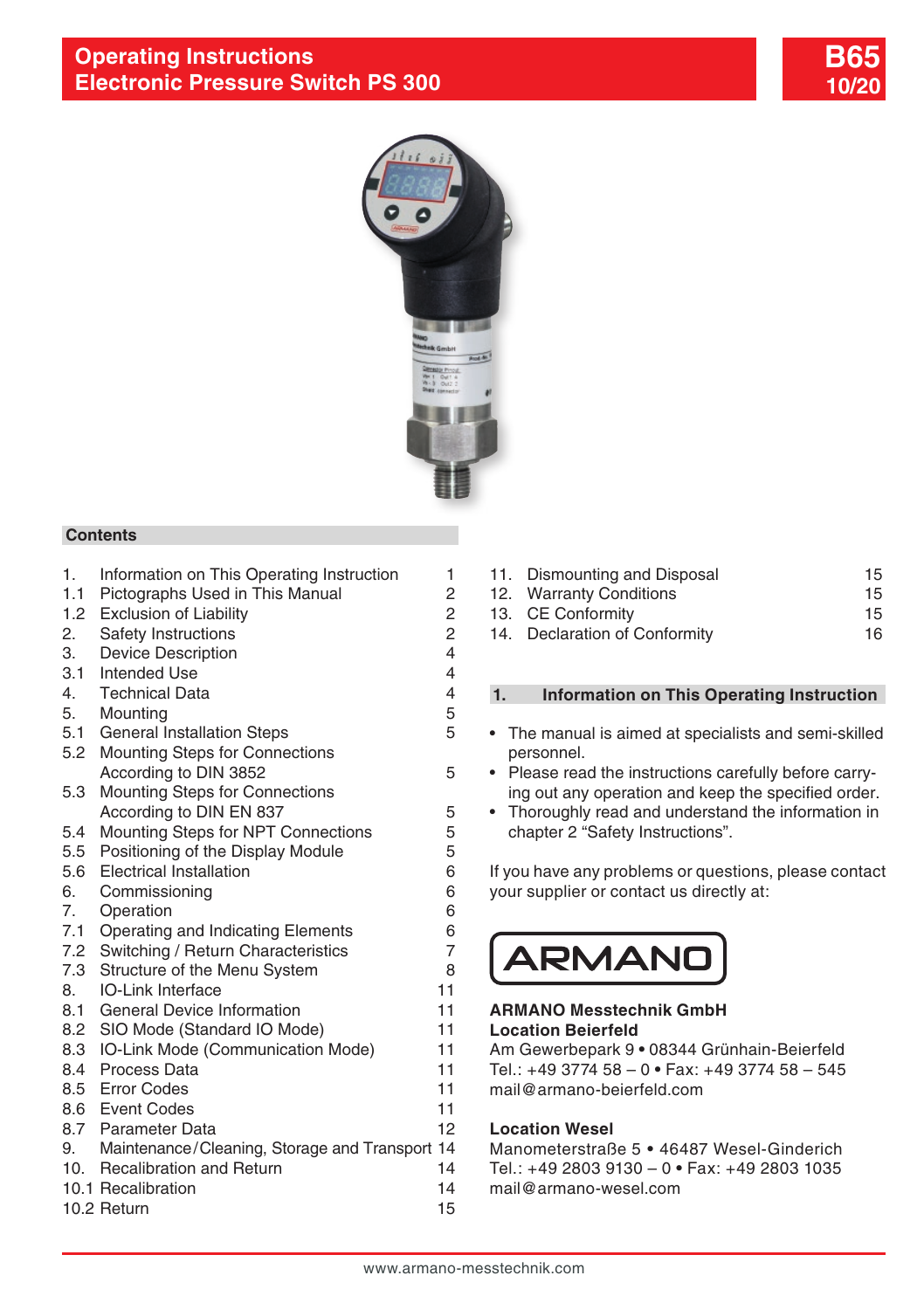



#### **Contents**

- 1. Information on This Operating Instruction 1
- 1.1 [Pictographs Used in This Manual](#page-1-0) 2<br>1.2 Exclusion of Liability 2
- 1.2 [Exclusion of Liability](#page-1-0)
- 2. [Safety Instructions](#page-1-0) 2
- 3. [Device Description](#page-3-0) 4
- [3.1 Intended Use](#page-3-0) 4
- 4. [Technical Data](#page-3-0) 4
- 5. [Mounting](#page-4-0) 5
- 5.1 [General Installation Steps](#page-4-0) 65 [5.2 Mounting Steps for Connections](#page-4-0)
- [According to DIN 3852](#page-4-0) 5
- [5.3 Mounting Steps for Connections](#page-4-0)  [According to DIN EN 837](#page-4-0)
- 5.4 [Mounting Steps for NPT Connections](#page-4-0) 5
- [5.5 Positioning of the Display Module](#page-4-0) 5
- [5.6 Electrical Installation](#page-5-0) 6
- 6. [Commissioning](#page-5-0) 6
- 7. [Operation 6](#page-5-0)
- 7.1 [Operating and Indicating Elements](#page-5-0) 6
- [7.2 Switching / Return Characteristics](#page-6-0) 7
- 7.3 [Structure of the Menu System](#page-7-0) 8
- 8. [IO-Link Interface](#page-10-0) 11 8.1 [General Device Information](#page-10-0) 11
- 8.2 [SIO Mode \(Standard IO Mode\)](#page-10-0) 11
- 8.3 [IO-Link Mode \(Communication Mode\) 11](#page-10-0)
- 
- 8.4 [Process Data](#page-10-0) 11 8.5 [Error Codes](#page-10-0) 11
- 
- 8.6 [Event Codes](#page-10-0) 11 [8.7 Parameter Data](#page-11-0) 12
- [9. Maintenance/Cleaning, Storage and Transport](#page-13-0) 14
- 10. [Recalibration and Return](#page-13-0) 14
- 10.1 [Recalibration](#page-13-0) 14
- 10.2 [Return](#page-14-0) 15
- 11. [Dismounting and Disposal](#page-14-0) 15
- 12. [Warranty Conditions](#page-14-0) 15
- 13. [CE Conformity](#page-14-0) 15
- 14. [Declaration of Conformity](#page-15-0) 16

#### **1. Information on This Operating Instruction**

- The manual is aimed at specialists and semi-skilled personnel.
- Please read the instructions carefully before carrying out any operation and keep the specified order.
- Thoroughly read and understand the information in chapter 2 "Safety Instructions".

If you have any problems or questions, please contact your supplier or contact us directly at:

# ARMAND

#### **ARMANO Messtechnik GmbH Location Beierfeld**

Am Gewerbepark 9 **•** 08344 Grünhain-Beierfeld Tel.: +49 3774 58 – 0 **•** Fax: +49 3774 58 – 545 mail@armano-beierfeld.com

### **Location Wesel**

Manometerstraße 5 **•** 46487 Wesel-Ginderich Tel.: +49 2803 9130 – 0 **•** Fax: +49 2803 1035 mail@armano-wesel.com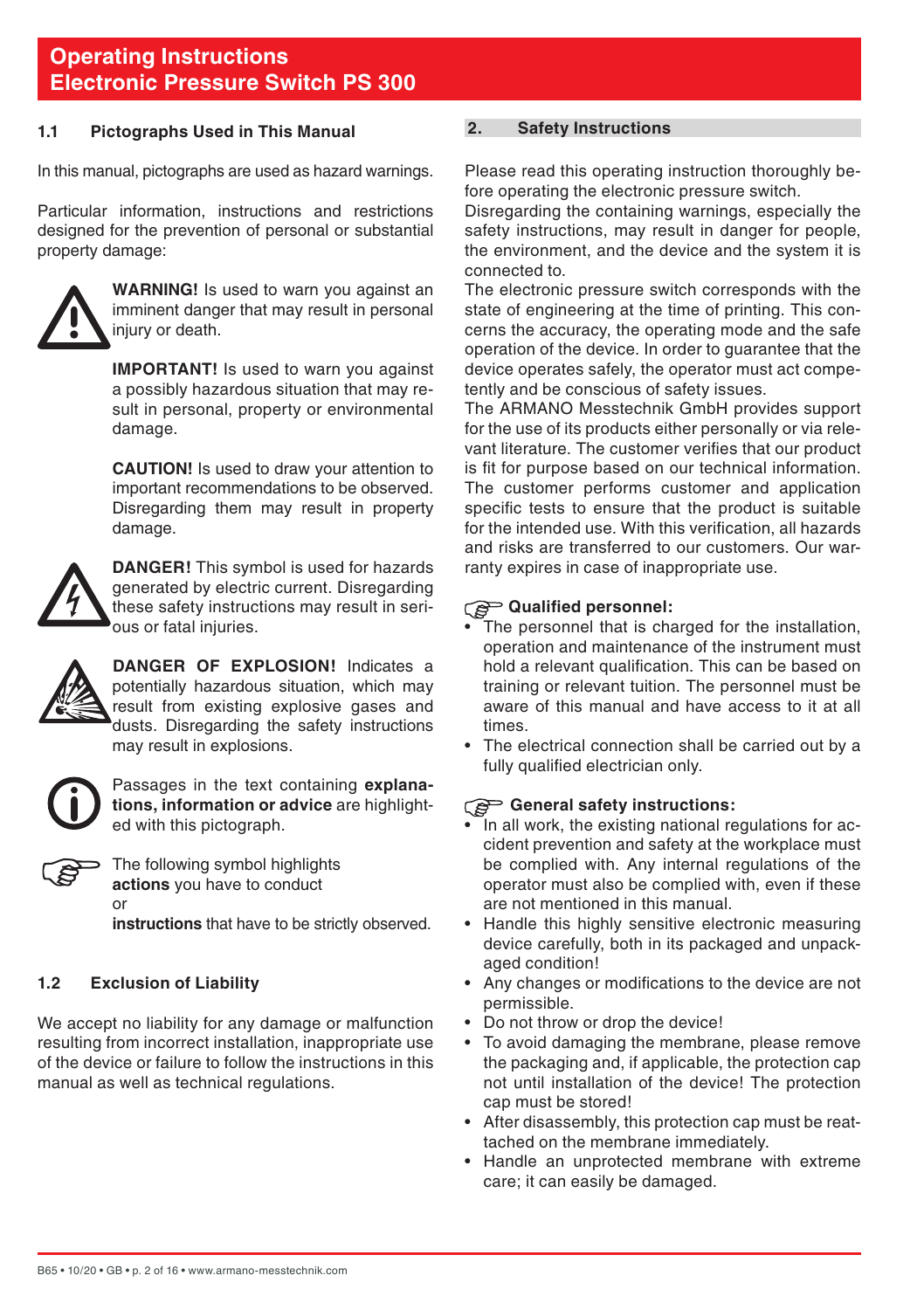#### <span id="page-1-0"></span>**1.1 Pictographs Used in This Manual**

In this manual, pictographs are used as hazard warnings.

Particular information, instructions and restrictions designed for the prevention of personal or substantial property damage:



**WARNING!** Is used to warn you against an imminent danger that may result in personal injury or death.

**IMPORTANT!** Is used to warn you against a possibly hazardous situation that may result in personal, property or environmental damage.

 **CAUTION!** Is used to draw your attention to important recommendations to be observed. Disregarding them may result in property damage.



**DANGER!** This symbol is used for hazards generated by electric current. Disregarding these safety instructions may result in serious or fatal injuries.



**DANGER OF EXPLOSION!** Indicates a potentially hazardous situation, which may result from existing explosive gases and dusts. Disregarding the safety instructions may result in explosions.



Passages in the text containing **explanations, information or advice** are highlighted with this pictograph.



The following symbol highlights **actions** you have to conduct or

**instructions** that have to be strictly observed.

### **1.2 Exclusion of Liability**

We accept no liability for any damage or malfunction resulting from incorrect installation, inappropriate use of the device or failure to follow the instructions in this manual as well as technical regulations.

#### **2. Safety Instructions**

Please read this operating instruction thoroughly before operating the electronic pressure switch.

Disregarding the containing warnings, especially the safety instructions, may result in danger for people. the environment, and the device and the system it is connected to.

The electronic pressure switch corresponds with the state of engineering at the time of printing. This concerns the accuracy, the operating mode and the safe operation of the device. In order to guarantee that the device operates safely, the operator must act competently and be conscious of safety issues.

The ARMANO Messtechnik GmbH provides support for the use of its products either personally or via relevant literature. The customer verifies that our product is fit for purpose based on our technical information. The customer performs customer and application specific tests to ensure that the product is suitable for the intended use. With this verification, all hazards and risks are transferred to our customers. Our warranty expires in case of inappropriate use.

#### **Qualified personnel:** ි

- The personnel that is charged for the installation, operation and maintenance of the instrument must hold a relevant qualification. This can be based on training or relevant tuition. The personnel must be aware of this manual and have access to it at all times.
- The electrical connection shall be carried out by a fully qualified electrician only.

#### **General safety instructions:**

- In all work, the existing national regulations for accident prevention and safety at the workplace must be complied with. Any internal regulations of the operator must also be complied with, even if these are not mentioned in this manual.
- Handle this highly sensitive electronic measuring device carefully, both in its packaged and unpackaged condition!
- Any changes or modifications to the device are not permissible.
- Do not throw or drop the device!
- To avoid damaging the membrane, please remove the packaging and, if applicable, the protection cap not until installation of the device! The protection cap must be stored!
- After disassembly, this protection cap must be reattached on the membrane immediately.
- Handle an unprotected membrane with extreme care; it can easily be damaged.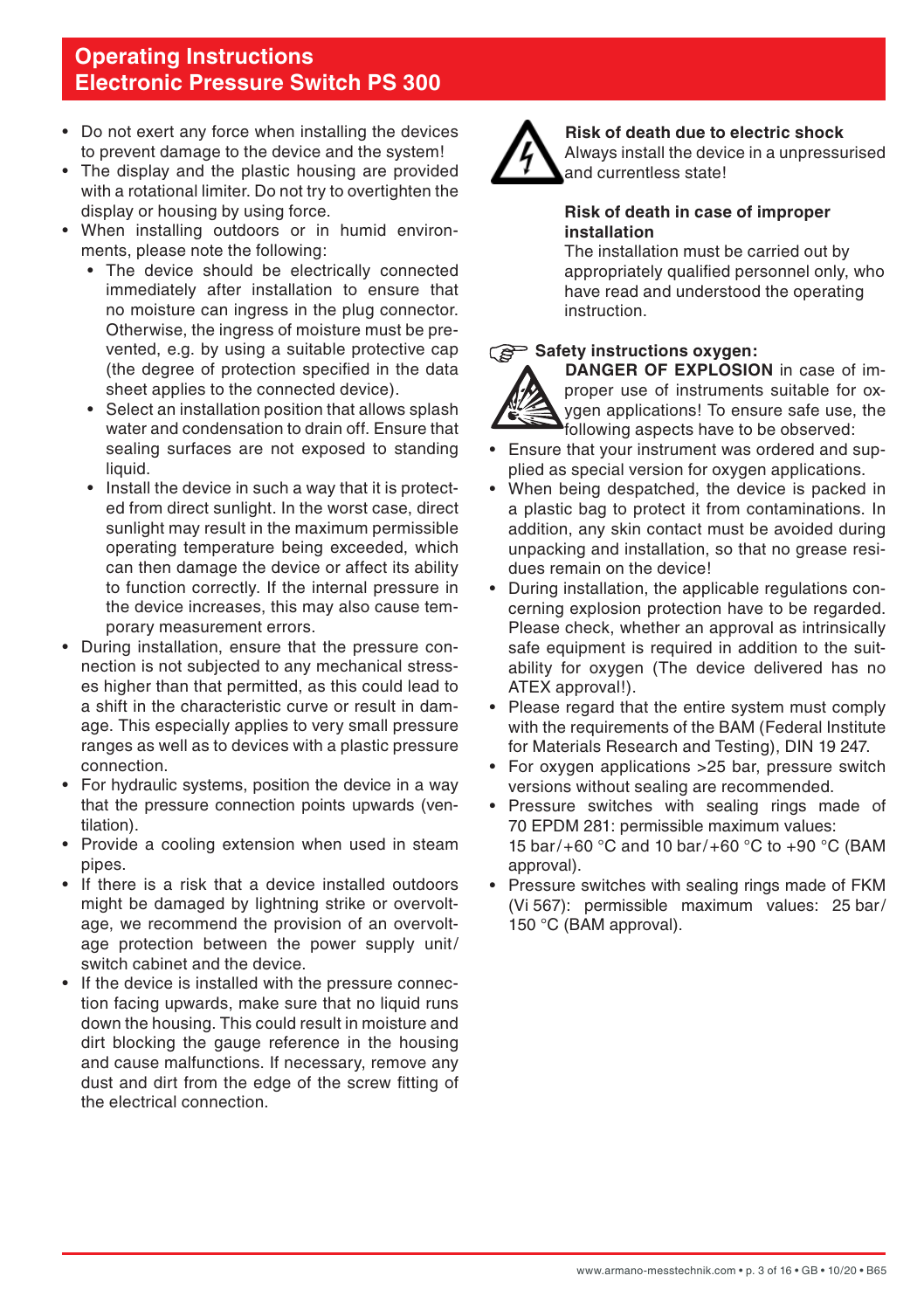- Do not exert any force when installing the devices to prevent damage to the device and the system!
- The display and the plastic housing are provided with a rotational limiter. Do not try to overtighten the display or housing by using force.
- When installing outdoors or in humid environments, please note the following:
	- The device should be electrically connected immediately after installation to ensure that no moisture can ingress in the plug connector. Otherwise, the ingress of moisture must be prevented, e.g. by using a suitable protective cap (the degree of protection specified in the data sheet applies to the connected device).
	- Select an installation position that allows splash water and condensation to drain off. Ensure that sealing surfaces are not exposed to standing liquid.
	- Install the device in such a way that it is protected from direct sunlight. In the worst case, direct sunlight may result in the maximum permissible operating temperature being exceeded, which can then damage the device or affect its ability to function correctly. If the internal pressure in the device increases, this may also cause temporary measurement errors.
- During installation, ensure that the pressure connection is not subjected to any mechanical stresses higher than that permitted, as this could lead to a shift in the characteristic curve or result in damage. This especially applies to very small pressure ranges as well as to devices with a plastic pressure connection.
- For hydraulic systems, position the device in a way that the pressure connection points upwards (ventilation).
- Provide a cooling extension when used in steam pipes.
- If there is a risk that a device installed outdoors might be damaged by lightning strike or overvoltage, we recommend the provision of an overvoltage protection between the power supply unit/ switch cabinet and the device.
- If the device is installed with the pressure connection facing upwards, make sure that no liquid runs down the housing. This could result in moisture and dirt blocking the gauge reference in the housing and cause malfunctions. If necessary, remove any dust and dirt from the edge of the screw fitting of the electrical connection.



**Risk of death due to electric shock**

 Always install the device in a unpressurised and currentless state!

#### **Risk of death in case of improper installation**

The installation must be carried out by appropriately qualified personnel only, who have read and understood the operating instruction.

#### Safety instructions oxygen:



**DANGER OF EXPLOSION** in case of improper use of instruments suitable for oxygen applications! To ensure safe use, the following aspects have to be observed:

- Ensure that your instrument was ordered and supplied as special version for oxygen applications.
- When being despatched, the device is packed in a plastic bag to protect it from contaminations. In addition, any skin contact must be avoided during unpacking and installation, so that no grease residues remain on the device!
- During installation, the applicable regulations concerning explosion protection have to be regarded. Please check, whether an approval as intrinsically safe equipment is required in addition to the suitability for oxygen (The device delivered has no ATEX approval!).
- Please regard that the entire system must comply with the requirements of the BAM (Federal Institute for Materials Research and Testing), DIN 19 247.
- For oxygen applications >25 bar, pressure switch versions without sealing are recommended.
- Pressure switches with sealing rings made of 70 EPDM 281: permissible maximum values: 15 bar/+60 °C and 10 bar/+60 °C to +90 °C (BAM approval).
- Pressure switches with sealing rings made of FKM (Vi 567): permissible maximum values: 25 bar/ 150 °C (BAM approval).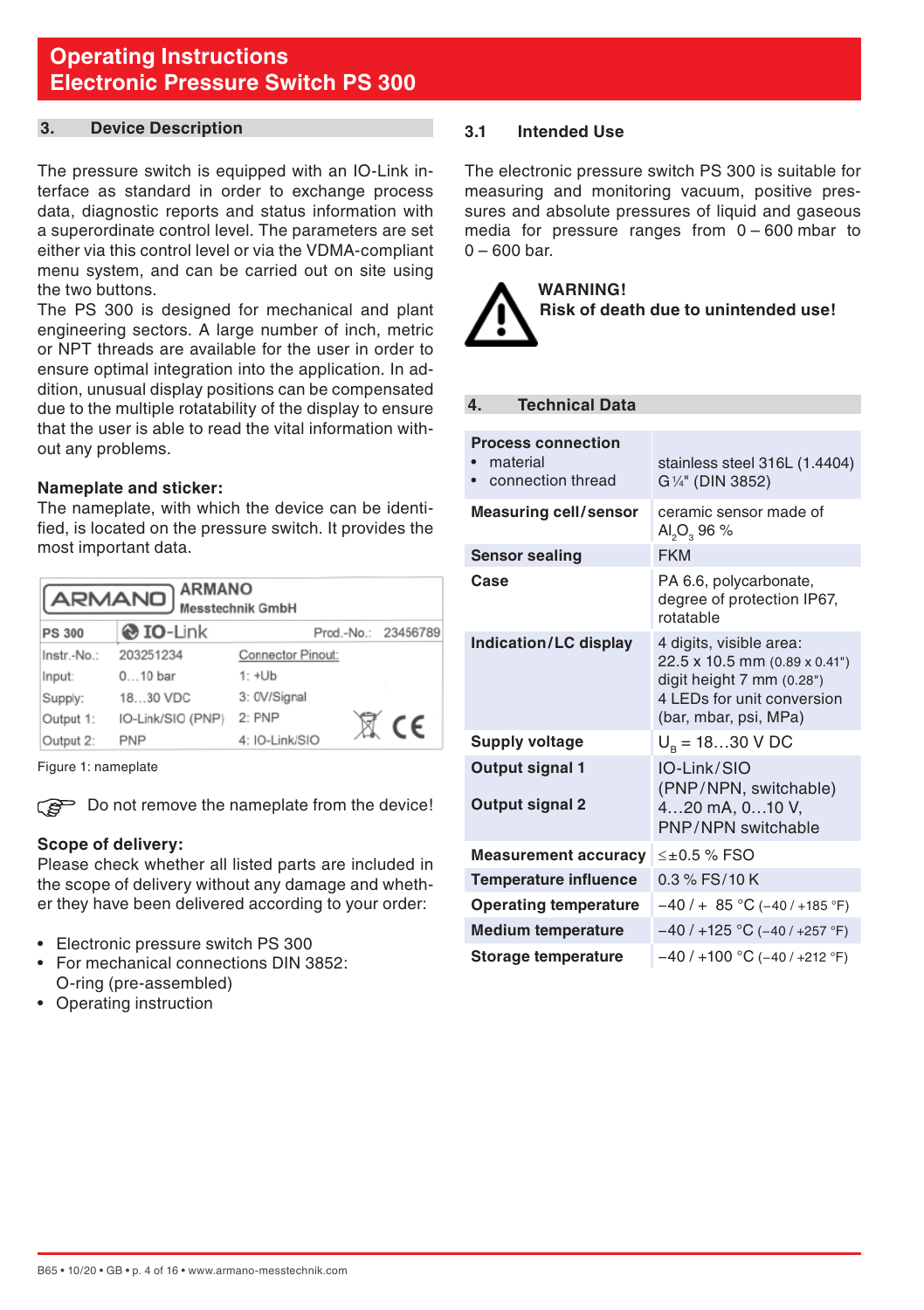#### <span id="page-3-0"></span>**3. Device Description**

The pressure switch is equipped with an IO-Link interface as standard in order to exchange process data, diagnostic reports and status information with a superordinate control level. The parameters are set either via this control level or via the VDMA-compliant menu system, and can be carried out on site using the two buttons.

The PS 300 is designed for mechanical and plant engineering sectors. A large number of inch, metric or NPT threads are available for the user in order to ensure optimal integration into the application. In addition, unusual display positions can be compensated due to the multiple rotatability of the display to ensure that the user is able to read the vital information without any problems.

#### **Nameplate and sticker:**

The nameplate, with which the device can be identified, is located on the pressure switch. It provides the most important data.

| <b>ARMANO</b><br>ARMANO)<br><b>Messtechnik GmbH</b>      |                   |                   |  |            |
|----------------------------------------------------------|-------------------|-------------------|--|------------|
| <b>O</b> IO-Link<br>Prod.-No.: 23456789<br><b>PS 300</b> |                   |                   |  |            |
| Instr.-No.:                                              | 203251234         | Connector Pinout: |  |            |
| Input:                                                   | $010$ bar         | $1: +Ub$          |  |            |
| Supply:                                                  | 1830 VDC          | 3: 0V/Signal      |  |            |
| Output 1:                                                | IO-Link/SIO (PNP) | 2:PNP             |  | $\epsilon$ |
| Output 2:                                                | <b>PNP</b>        | 4: IO-Link/SIO    |  |            |

Figure 1: nameplate

Do not remove the nameplate from the device!

#### **Scope of delivery:**

Please check whether all listed parts are included in the scope of delivery without any damage and whether they have been delivered according to your order:

- Electronic pressure switch PS 300
- For mechanical connections DIN 3852: O-ring (pre-assembled)
- Operating instruction

#### **3.1 Intended Use**

The electronic pressure switch PS 300 is suitable for measuring and monitoring vacuum, positive pressures and absolute pressures of liquid and gaseous media for pressure ranges from 0 – 600 mbar to  $0 - 600$  bar.

**WARNING! Risk of death due to unintended use!** 

#### **4. Technical Data**

| <b>Process connection</b><br>material<br>connection thread | stainless steel 316L (1.4404)<br>G <sup>1/4"</sup> (DIN 3852)                                                                                |
|------------------------------------------------------------|----------------------------------------------------------------------------------------------------------------------------------------------|
| <b>Measuring cell/sensor</b>                               | ceramic sensor made of<br>$AI2O3$ 96 %                                                                                                       |
| <b>Sensor sealing</b>                                      | <b>FKM</b>                                                                                                                                   |
| Case                                                       | PA 6.6, polycarbonate,<br>degree of protection IP67,<br>rotatable                                                                            |
| Indication/LC display                                      | 4 digits, visible area:<br>22.5 x 10.5 mm (0.89 x 0.41")<br>digit height 7 mm (0.28")<br>4 LEDs for unit conversion<br>(bar, mbar, psi, MPa) |
| <b>Supply voltage</b>                                      | $U_{\rm B} = 1830$ V DC                                                                                                                      |
| Output signal 1<br>Output signal 2                         | IO-Link/SIO<br>(PNP/NPN, switchable)<br>420 mA, 010 V,<br>PNP/NPN switchable                                                                 |
| <b>Measurement accuracy</b>                                | $\leq \pm 0.5$ % FSO                                                                                                                         |
| <b>Temperature influence</b>                               | $0.3$ % FS/10 K                                                                                                                              |
| <b>Operating temperature</b>                               | $-40/ + 85$ °C (-40/+185 °F)                                                                                                                 |
| <b>Medium temperature</b>                                  | $-40/+125$ °C (-40/+257 °F)                                                                                                                  |
| Storage temperature                                        | $-40/+100$ °C (-40/+212 °F)                                                                                                                  |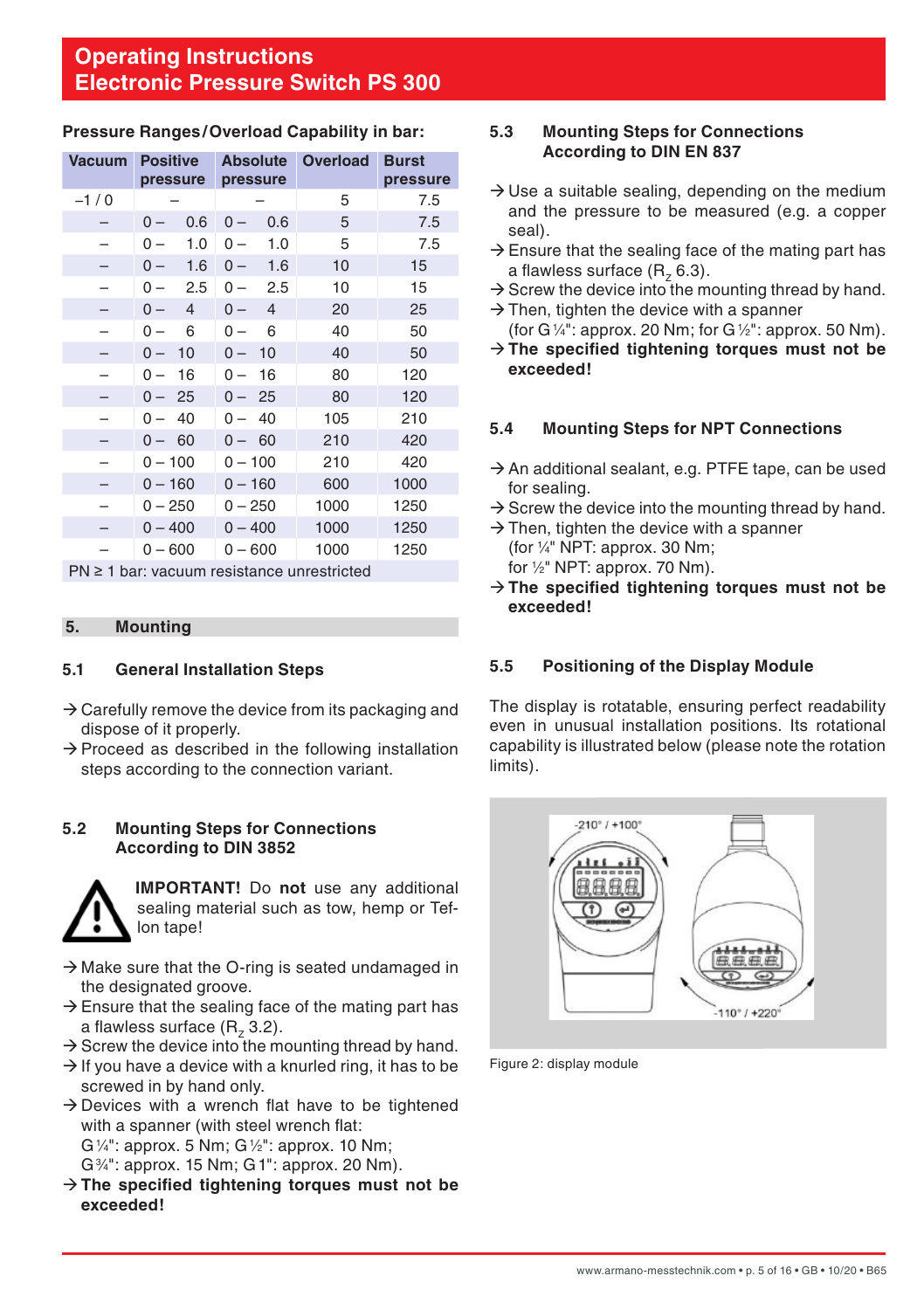#### <span id="page-4-0"></span>**Pressure Ranges/Overload Capability in bar:**

| <b>Vacuum</b> | <b>Positive</b>                     |                         | Absolute Overload | <b>Burst</b> |
|---------------|-------------------------------------|-------------------------|-------------------|--------------|
|               | pressure                            | pressure                |                   | pressure     |
| $-1/0$        |                                     |                         | 5                 | 7.5          |
|               | 0.6<br>0 –                          | 0.6<br>$0 -$            | 5                 | 7.5          |
|               | 1.0<br>$0 -$                        | $0 -$<br>1.0            | 5                 | 7.5          |
|               | 1.6<br>$0 -$                        | 1.6<br>$0 -$            | 10                | 15           |
|               | 2.5<br>$0-$                         | 2.5<br>$0 -$            | 10                | 15           |
|               | $\overline{4}$<br>$0 -$             | $\overline{4}$<br>$0 -$ | 20                | 25           |
|               | 6<br>$0-$                           | 6<br>0 –                | 40                | 50           |
|               | 10<br>0 –                           | 10<br>$0 -$             | 40                | 50           |
|               | 16<br>$0-$                          | 0 –<br>16               | 80                | 120          |
|               | - 25<br>0 –                         | 25<br>$0 -$             | 80                | 120          |
|               | 40<br>0<br>$\overline{\phantom{0}}$ | 40<br>$0 -$             | 105               | 210          |
|               | $0 - 60$                            | $0 - 60$                | 210               | 420          |
|               | $0 - 100$                           | $0 - 100$               | 210               | 420          |
|               | $0 - 160$                           | $0 - 160$               | 600               | 1000         |
|               | $0 - 250$                           | $0 - 250$               | 1000              | 1250         |
|               | $0 - 400$                           | $0 - 400$               | 1000              | 1250         |
|               | $0 - 600$                           | $0 - 600$               | 1000              | 1250         |

PN ≥ 1 bar: vacuum resistance unrestricted

#### **5. Mounting**

#### **5.1 General Installation Steps**

- $\rightarrow$  Carefully remove the device from its packaging and dispose of it properly.
- $\rightarrow$  Proceed as described in the following installation steps according to the connection variant.

#### **5.2 Mounting Steps for Connections According to DIN 3852**



**IMPORTANT!** Do **not** use any additional sealing material such as tow, hemp or Teflon tape!

- $\rightarrow$  Make sure that the O-ring is seated undamaged in the designated groove.
- $\rightarrow$  Ensure that the sealing face of the mating part has a flawless surface  $(R, 3.2)$ .
- $\rightarrow$  Screw the device into the mounting thread by hand.
- $\rightarrow$  If you have a device with a knurled ring, it has to be screwed in by hand only.
- $\rightarrow$  Devices with a wrench flat have to be tightened with a spanner (with steel wrench flat: G1 ⁄4": approx. 5 Nm; G1 ⁄2": approx. 10 Nm; G3 ⁄4": approx. 15 Nm; G1": approx. 20 Nm).
- → The specified tightening torques must not be **exceeded!**

#### **5.3 Mounting Steps for Connections According to DIN EN 837**

- $\rightarrow$  Use a suitable sealing, depending on the medium and the pressure to be measured (e.g. a copper seal).
- $\rightarrow$  Ensure that the sealing face of the mating part has a flawless surface  $(R, 6.3)$ .
- $\rightarrow$  Screw the device into the mounting thread by hand.
- $\rightarrow$  Then, tighten the device with a spanner
- (for G $\frac{1}{4}$ ": approx. 20 Nm; for G $\frac{1}{2}$ ": approx. 50 Nm). Æ**The specified tightening torques must not be exceeded!**

#### **5.4 Mounting Steps for NPT Connections**

- $\rightarrow$  An additional sealant, e.g. PTFE tape, can be used for sealing.
- $\rightarrow$  Screw the device into the mounting thread by hand.
- $\rightarrow$  Then, tighten the device with a spanner (for 1 ⁄4" NPT: approx. 30 Nm; for 1 ⁄2" NPT: approx. 70 Nm).
- → The specified tightening torques must not be **exceeded!**

#### **5.5 Positioning of the Display Module**

The display is rotatable, ensuring perfect readability even in unusual installation positions. Its rotational capability is illustrated below (please note the rotation limits).



Figure 2: display module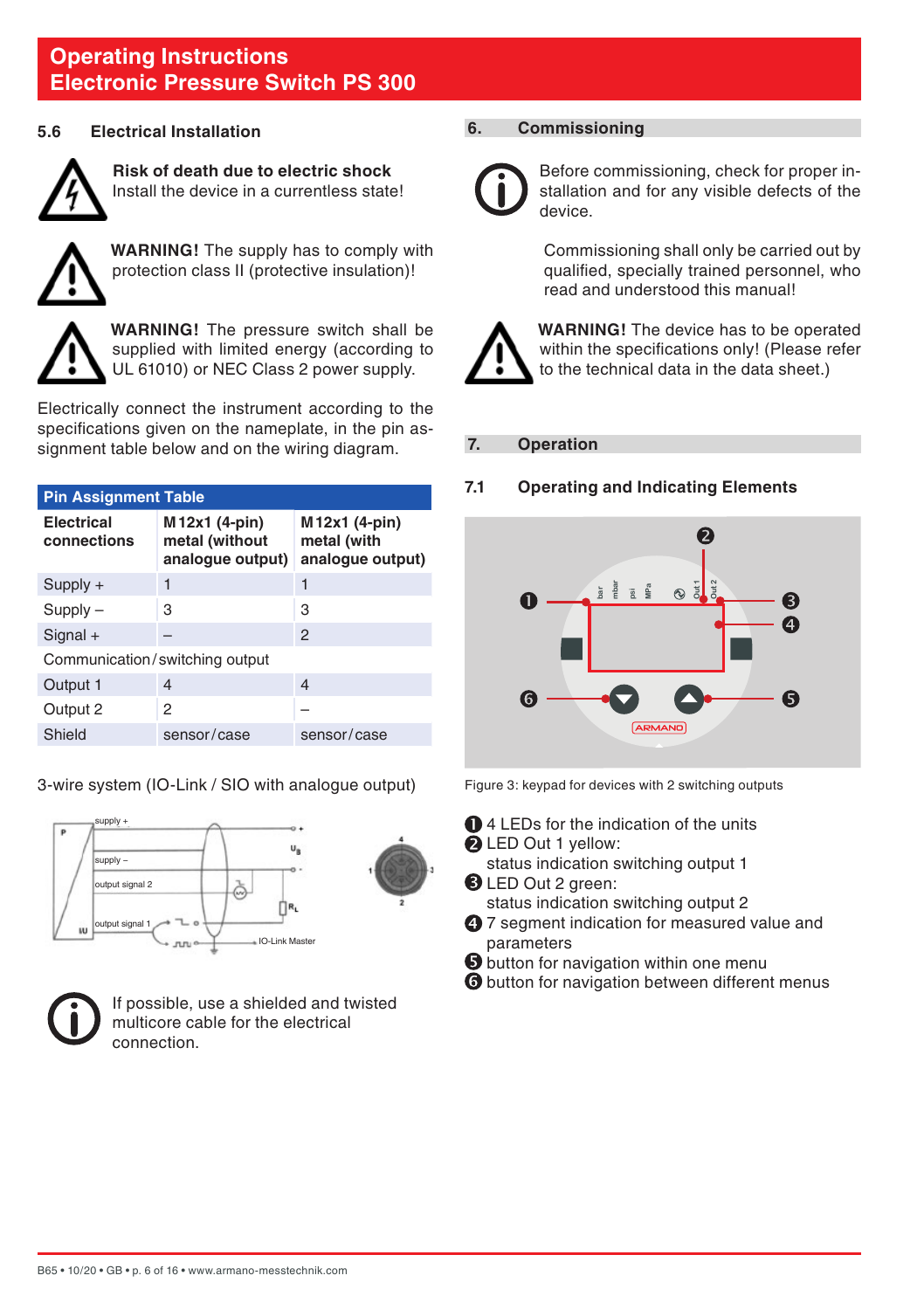#### <span id="page-5-0"></span>**5.6 Electrical Installation**



**Risk of death due to electric shock** Install the device in a currentless state!



**WARNING!** The supply has to comply with protection class II (protective insulation)!



**WARNING!** The pressure switch shall be supplied with limited energy (according to UL 61010) or NEC Class 2 power supply.

Electrically connect the instrument according to the specifications given on the nameplate, in the pin assignment table below and on the wiring diagram.

| <b>Pin Assignment Table</b>    |                                                     |                                                  |  |  |
|--------------------------------|-----------------------------------------------------|--------------------------------------------------|--|--|
| Electrical<br>connections      | M12x1 (4-pin)<br>metal (without<br>analogue output) | M12x1 (4-pin)<br>metal (with<br>analoque output) |  |  |
| $Supply +$                     | 1                                                   | 1                                                |  |  |
| $Supply -$                     | 3                                                   | 3                                                |  |  |
| $Signal +$                     |                                                     | $\mathcal{P}$                                    |  |  |
| Communication/switching output |                                                     |                                                  |  |  |
| Output 1                       | $\overline{4}$                                      | $\overline{\mathcal{A}}$                         |  |  |
| Output 2                       | 2                                                   |                                                  |  |  |
| Shield                         | sensor/case                                         | sensor/case                                      |  |  |

3-wire system (IO-Link / SIO with analogue output)





If possible, use a shielded and twisted multicore cable for the electrical connection.

#### **6. Commissioning**



Before commissioning, check for proper installation and for any visible defects of the device.

 Commissioning shall only be carried out by qualified, specially trained personnel, who read and understood this manual!



**WARNING!** The device has to be operated within the specifications only! (Please refer to the technical data in the data sheet.)

#### **7. Operation**

#### **7.1 Operating and Indicating Elements**



Figure 3: keypad for devices with 2 switching outputs

- $\bigcirc$  4 LEDs for the indication of the units **Q** LED Out 1 yellow:
	- status indication switching output 1
- **B** LED Out 2 green:

status indication switching output 2

- **4** 7 segment indication for measured value and parameters
- $\Theta$  button for navigation within one menu
- $\Theta$  button for navigation between different menus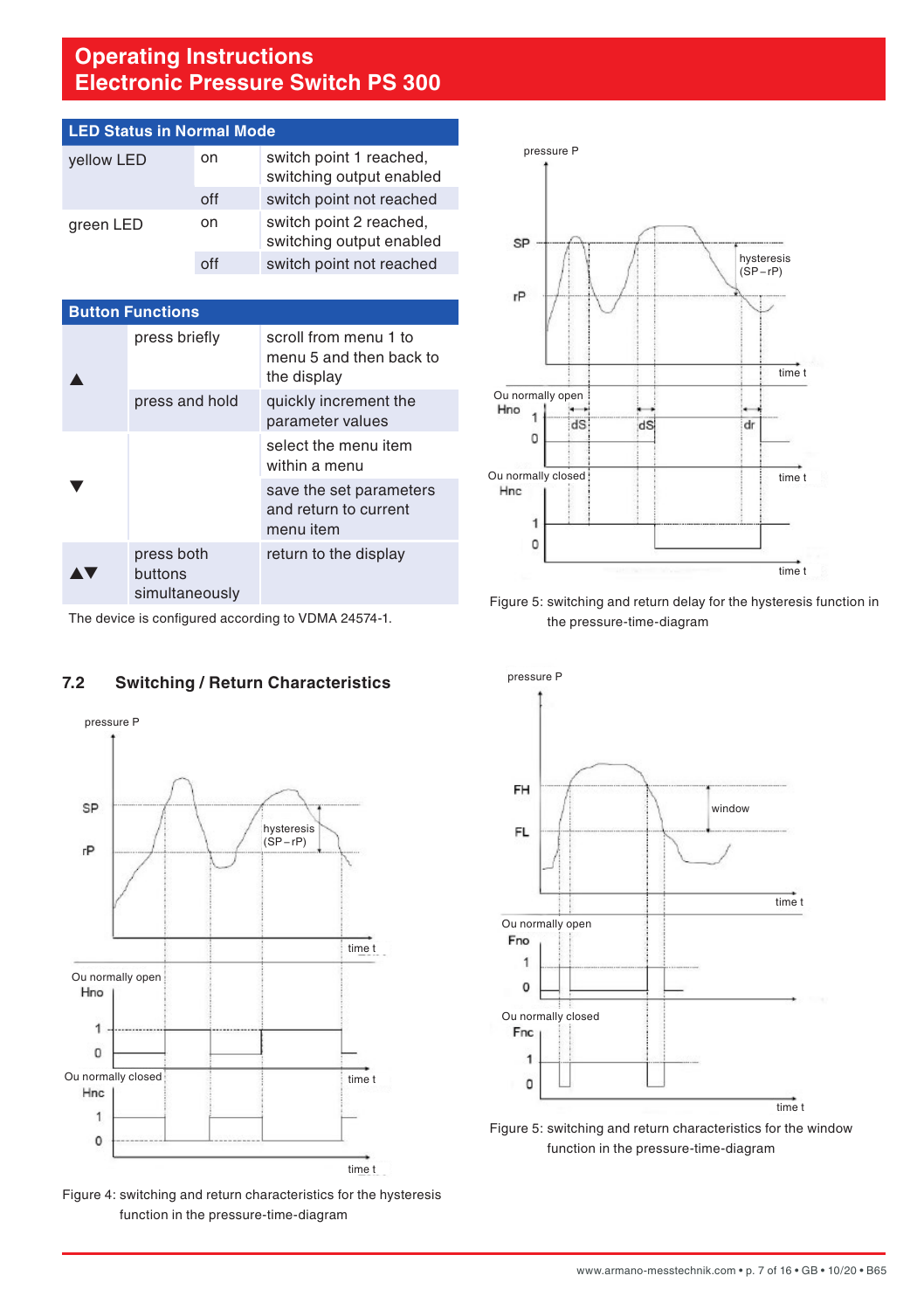<span id="page-6-0"></span>

| <b>LED Status in Normal Mode</b> |     |                                                     |  |
|----------------------------------|-----|-----------------------------------------------------|--|
| vellow LED                       | on  | switch point 1 reached,<br>switching output enabled |  |
|                                  | off | switch point not reached                            |  |
| green LED                        | on  | switch point 2 reached,<br>switching output enabled |  |
|                                  |     | switch point not reached                            |  |

| <b>Button Functions</b> |                                         |                                                                 |  |
|-------------------------|-----------------------------------------|-----------------------------------------------------------------|--|
|                         | press briefly                           | scroll from menu 1 to<br>menu 5 and then back to<br>the display |  |
|                         | press and hold                          | quickly increment the<br>parameter values                       |  |
|                         |                                         | select the menu item<br>within a menu                           |  |
|                         |                                         | save the set parameters<br>and return to current<br>menu item   |  |
|                         | press both<br>buttons<br>simultaneously | return to the display                                           |  |



Figure 5: switching and return delay for the hysteresis function in the pressure-time-diagram

The device is configured according to VDMA 24574-1.

## **7.2 Switching / Return Characteristics**



Figure 4: switching and return characteristics for the hysteresis function in the pressure-time-diagram



function in the pressure-time-diagram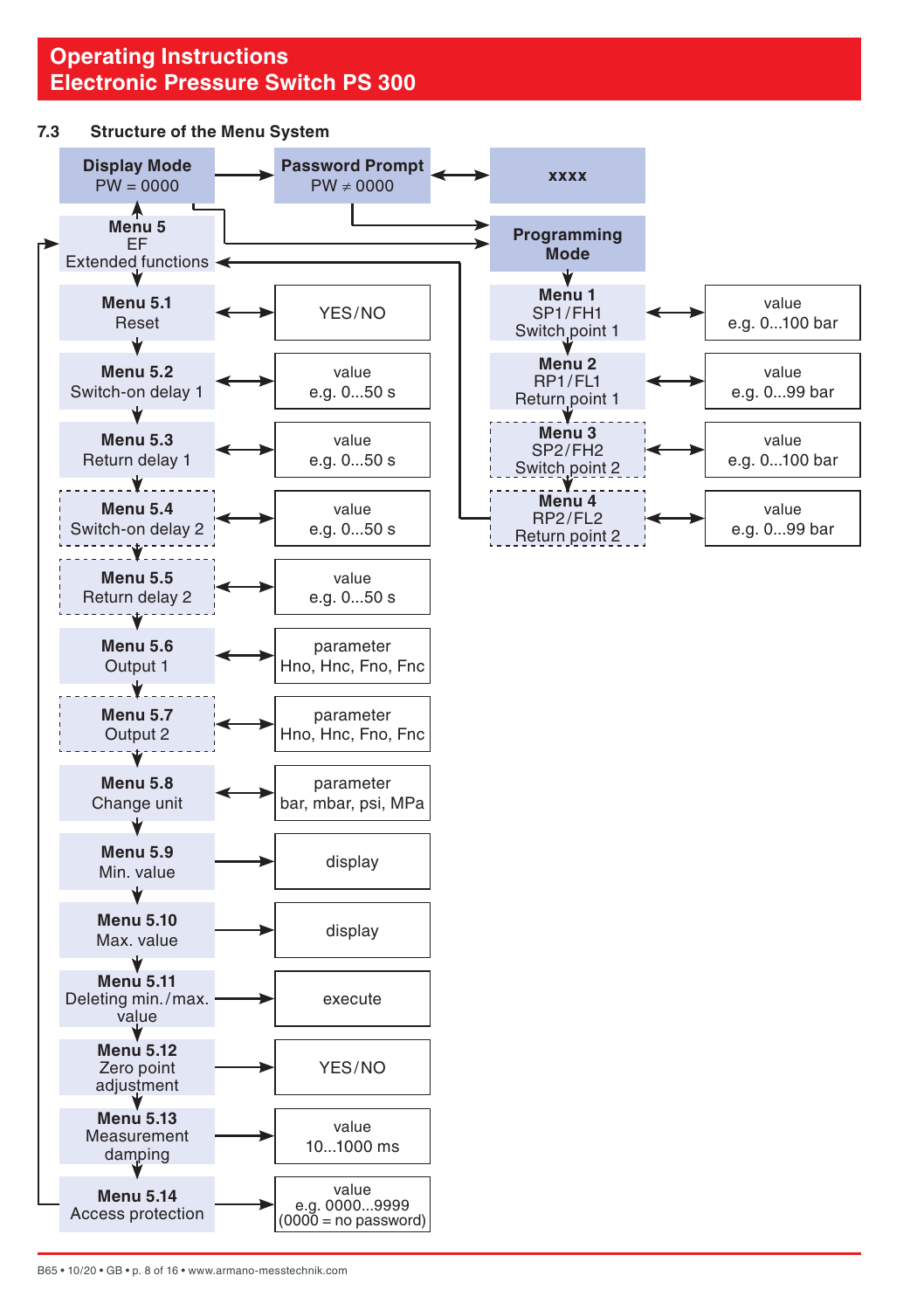#### <span id="page-7-0"></span>**7.3 Structure of the Menu System**

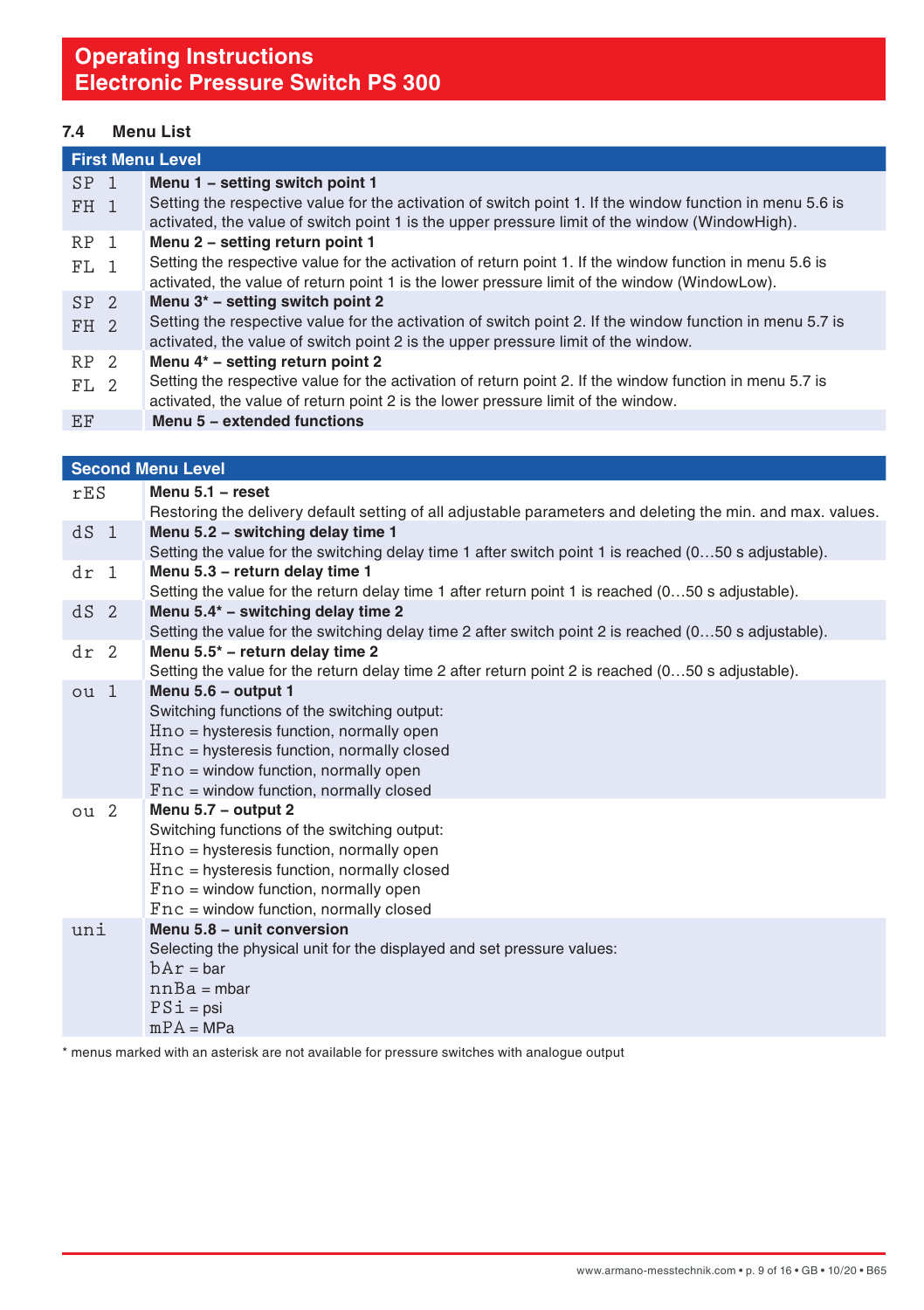## **7.4 Menu List**

|                 | <b>First Menu Level</b> |                                                                                                                                                                                                            |  |  |
|-----------------|-------------------------|------------------------------------------------------------------------------------------------------------------------------------------------------------------------------------------------------------|--|--|
| SP <sub>1</sub> |                         | Menu 1 - setting switch point 1                                                                                                                                                                            |  |  |
| $FH$ 1          |                         | Setting the respective value for the activation of switch point 1. If the window function in menu 5.6 is<br>activated, the value of switch point 1 is the upper pressure limit of the window (WindowHigh). |  |  |
| RP 1            |                         | Menu 2 - setting return point 1                                                                                                                                                                            |  |  |
| FT. 1           |                         | Setting the respective value for the activation of return point 1. If the window function in menu 5.6 is<br>activated, the value of return point 1 is the lower pressure limit of the window (WindowLow).  |  |  |
| SP <sub>2</sub> |                         | Menu 3* - setting switch point 2                                                                                                                                                                           |  |  |
| FH 2            |                         | Setting the respective value for the activation of switch point 2. If the window function in menu 5.7 is<br>activated, the value of switch point 2 is the upper pressure limit of the window.              |  |  |
| RP 2            |                         | Menu 4* - setting return point 2                                                                                                                                                                           |  |  |
| FT.2            |                         | Setting the respective value for the activation of return point 2. If the window function in menu 5.7 is<br>activated, the value of return point 2 is the lower pressure limit of the window.              |  |  |
| EF              |                         | Menu 5 - extended functions                                                                                                                                                                                |  |  |

|                 | <b>Second Menu Level</b>                                                                                                                                                                                                                                |
|-----------------|---------------------------------------------------------------------------------------------------------------------------------------------------------------------------------------------------------------------------------------------------------|
| rES             | Menu 5.1 - reset                                                                                                                                                                                                                                        |
|                 | Restoring the delivery default setting of all adjustable parameters and deleting the min. and max. values.                                                                                                                                              |
| dS <sub>1</sub> | Menu 5.2 - switching delay time 1<br>Setting the value for the switching delay time 1 after switch point 1 is reached (050 s adjustable).                                                                                                               |
| dr <sub>1</sub> | Menu 5.3 - return delay time 1<br>Setting the value for the return delay time 1 after return point 1 is reached (050 s adjustable).                                                                                                                     |
| dS <sub>2</sub> | Menu 5.4* - switching delay time 2<br>Setting the value for the switching delay time 2 after switch point 2 is reached (050 s adjustable).                                                                                                              |
| dr <sub>2</sub> | Menu 5.5* - return delay time 2<br>Setting the value for the return delay time 2 after return point 2 is reached (050 s adjustable).                                                                                                                    |
| ou <sub>1</sub> | Menu 5.6 - output 1<br>Switching functions of the switching output:<br>$Hno = hysteresis function, normally open$<br>$Hnc = hysteresis function, normally closed$<br>$Fno = window function, normally open$<br>$Fnc = window function, normally closed$ |
| ou <sub>2</sub> | Menu 5.7 - output 2<br>Switching functions of the switching output:<br>$Hno = hysteresis function, normally open$<br>$Hnc = hysteresis function, normally closed$<br>$Fno = window function, normally open$<br>$Fnc = window function, normally closed$ |
| uni             | Menu 5.8 - unit conversion<br>Selecting the physical unit for the displayed and set pressure values:<br>$bAr = bar$<br>$nnBa = mbar$<br>$PSi = psi$<br>$mPA = MPa$                                                                                      |

\* menus marked with an asterisk are not available for pressure switches with analogue output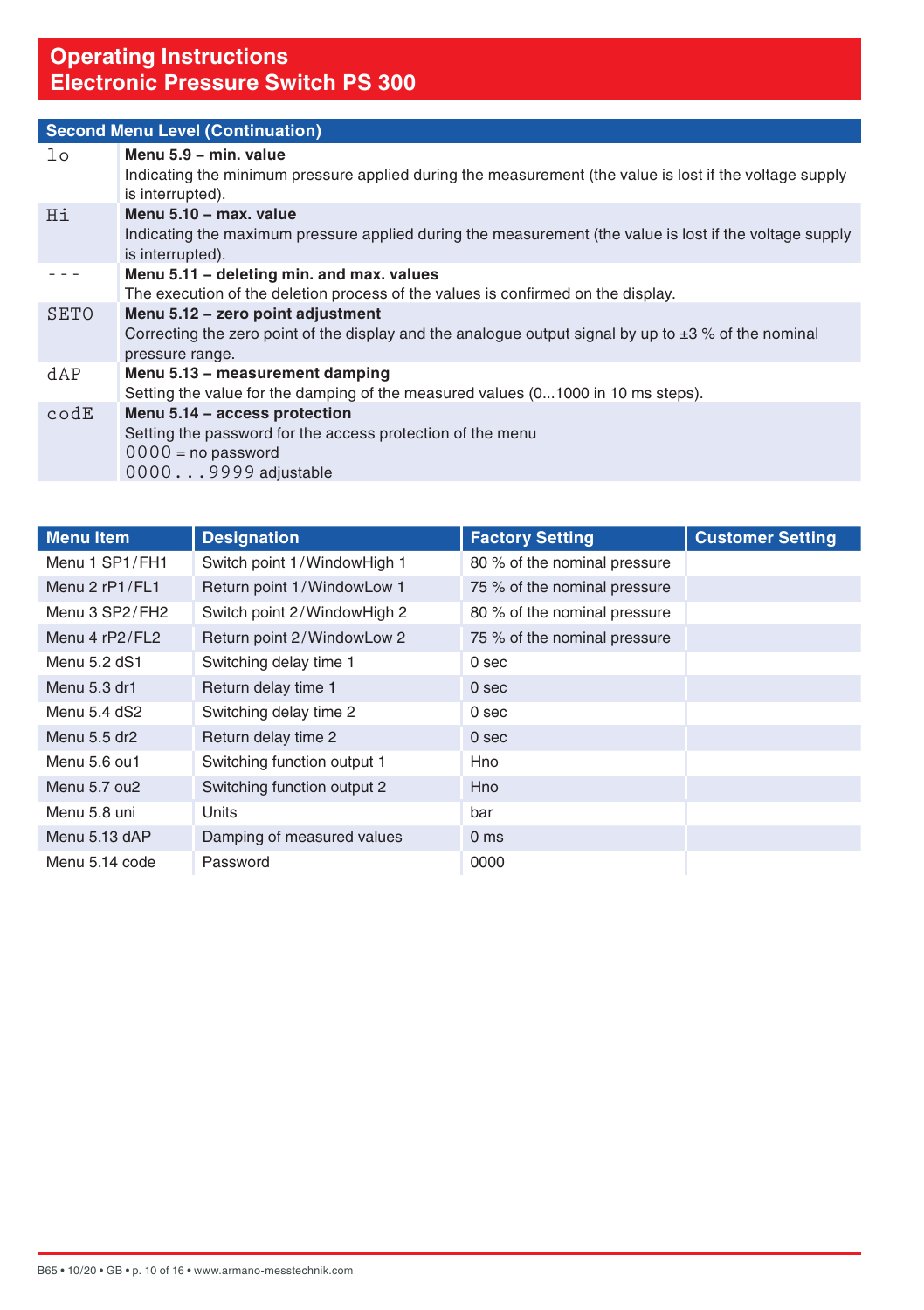|               | <b>Second Menu Level (Continuation)</b>                                                                                                                           |  |  |  |
|---------------|-------------------------------------------------------------------------------------------------------------------------------------------------------------------|--|--|--|
| $1\circ$      | Menu 5.9 - min. value<br>Indicating the minimum pressure applied during the measurement (the value is lost if the voltage supply<br>is interrupted).              |  |  |  |
| Hi            | Menu 5.10 - max. value<br>Indicating the maximum pressure applied during the measurement (the value is lost if the voltage supply<br>is interrupted).             |  |  |  |
|               | Menu 5.11 - deleting min. and max. values<br>The execution of the deletion process of the values is confirmed on the display.                                     |  |  |  |
| <b>SETO</b>   | Menu 5.12 - zero point adjustment<br>Correcting the zero point of the display and the analogue output signal by up to $\pm 3$ % of the nominal<br>pressure range. |  |  |  |
| dAP           | Menu 5.13 - measurement damping<br>Setting the value for the damping of the measured values (01000 in 10 ms steps).                                               |  |  |  |
| $\text{cod}E$ | Menu 5.14 - access protection<br>Setting the password for the access protection of the menu<br>$0000$ = no password<br>00009999 adjustable                        |  |  |  |

| <b>Menu Item</b> | <b>Designation</b>          | <b>Factory Setting</b>       | <b>Customer Setting</b> |
|------------------|-----------------------------|------------------------------|-------------------------|
| Menu 1 SP1/FH1   | Switch point 1/WindowHigh 1 | 80 % of the nominal pressure |                         |
| Menu 2 rP1/FL1   | Return point 1/WindowLow 1  | 75 % of the nominal pressure |                         |
| Menu 3 SP2/FH2   | Switch point 2/WindowHigh 2 | 80 % of the nominal pressure |                         |
| Menu 4 rP2/FL2   | Return point 2/WindowLow 2  | 75 % of the nominal pressure |                         |
| Menu 5.2 dS1     | Switching delay time 1      | 0 <sub>sec</sub>             |                         |
| Menu 5.3 dr1     | Return delay time 1         | 0 <sub>sec</sub>             |                         |
| Menu 5.4 dS2     | Switching delay time 2      | 0 <sub>sec</sub>             |                         |
| Menu 5.5 dr2     | Return delay time 2         | 0 <sub>sec</sub>             |                         |
| Menu 5.6 ou1     | Switching function output 1 | Hno                          |                         |
| Menu 5.7 ou2     | Switching function output 2 | Hno                          |                         |
| Menu 5.8 uni     | Units                       | bar                          |                         |
| Menu 5.13 dAP    | Damping of measured values  | 0 <sub>ms</sub>              |                         |
| Menu 5.14 code   | Password                    | 0000                         |                         |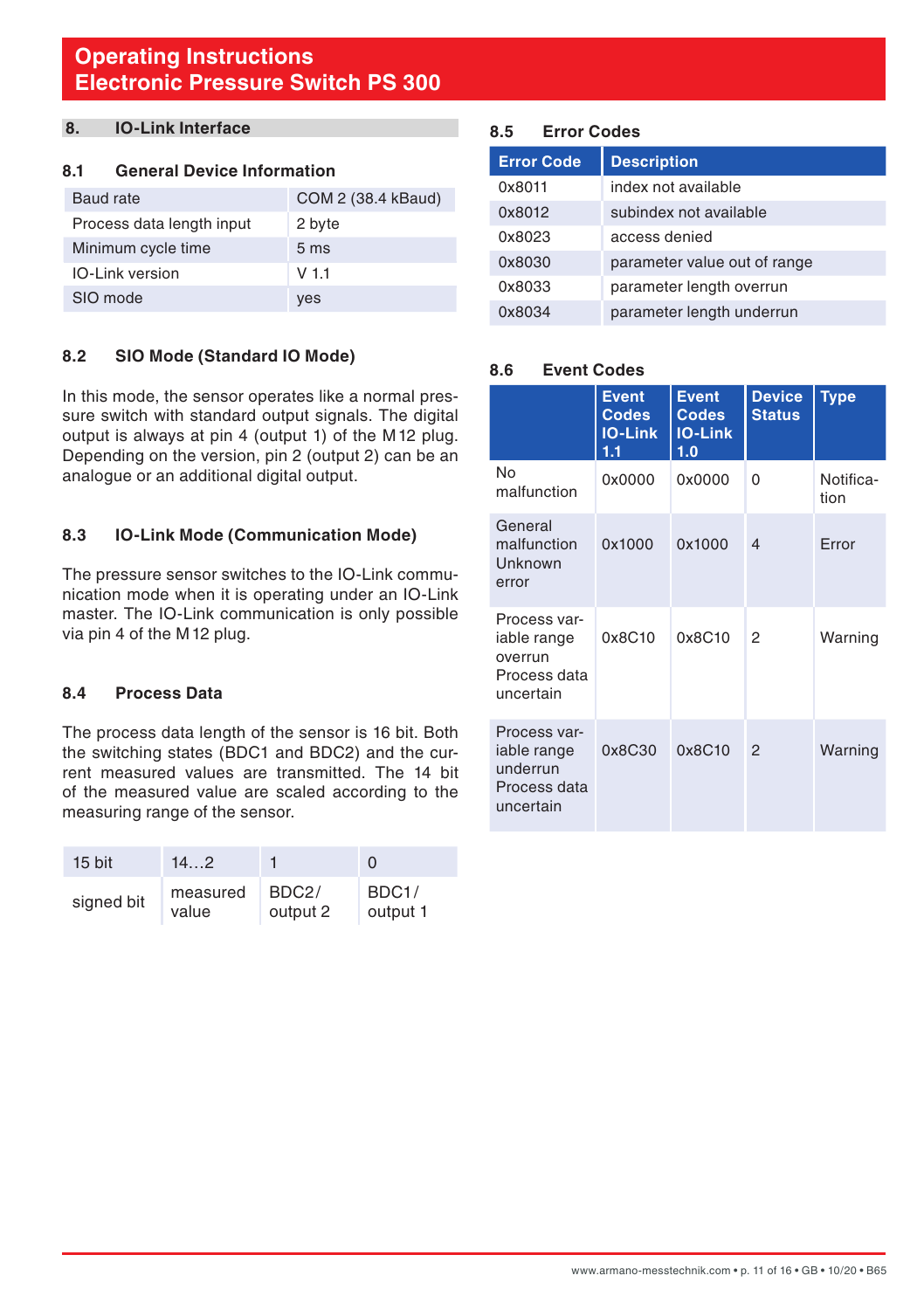## <span id="page-10-0"></span>**8. IO-Link Interface**

#### **8.1 General Device Information**

| Baud rate                 | COM 2 (38.4 kBaud) |
|---------------------------|--------------------|
| Process data length input | 2 byte             |
| Minimum cycle time        | 5 <sub>ms</sub>    |
| <b>IO-Link version</b>    | $V$ 1.1            |
| SIO mode                  | yes                |

#### **8.2 SIO Mode (Standard IO Mode)**

In this mode, the sensor operates like a normal pressure switch with standard output signals. The digital output is always at pin 4 (output 1) of the M12 plug. Depending on the version, pin 2 (output 2) can be an analogue or an additional digital output.

#### **8.3 IO-Link Mode (Communication Mode)**

The pressure sensor switches to the IO-Link communication mode when it is operating under an IO-Link master. The IO-Link communication is only possible via pin 4 of the M12 plug.

#### **8.4 Process Data**

The process data length of the sensor is 16 bit. Both the switching states (BDC1 and BDC2) and the current measured values are transmitted. The 14 bit of the measured value are scaled according to the measuring range of the sensor.

| $15$ bit   | 14.2     |                    | O        |
|------------|----------|--------------------|----------|
| signed bit | measured | BDC <sub>2</sub> / | BDC1/    |
|            | value    | output 2           | output 1 |

#### **8.5 Error Codes**

| <b>Error Code</b> | <b>Description</b>           |
|-------------------|------------------------------|
| 0x8011            | index not available          |
| 0x8012            | subindex not available       |
| 0x8023            | access denied                |
| 0x8030            | parameter value out of range |
| 0x8033            | parameter length overrun     |
| 0x8034            | parameter length underrun    |

#### **8.6 Event Codes**

|                                                                      | <b>Event</b><br><b>Codes</b><br><b>IO-Link</b><br>1.1 | <b>Event</b><br><b>Codes</b><br><b>IO-Link</b><br>1.0 | <b>Device</b><br><b>Status</b> | <b>Type</b>       |
|----------------------------------------------------------------------|-------------------------------------------------------|-------------------------------------------------------|--------------------------------|-------------------|
| <b>No</b><br>malfunction                                             | 0x0000                                                | 0x0000                                                | 0                              | Notifica-<br>tion |
| General<br>malfunction<br>Unknown<br>error                           | 0x1000                                                | 0x1000                                                | $\overline{\mathcal{A}}$       | Error             |
| Process var-<br>iable range<br>overrun<br>Process data<br>uncertain  | 0x8C10                                                | 0x8C10                                                | 2                              | Warning           |
| Process var-<br>iable range<br>underrun<br>Process data<br>uncertain | 0x8C30                                                | 0x8C10                                                | $\mathfrak{p}$                 | Warning           |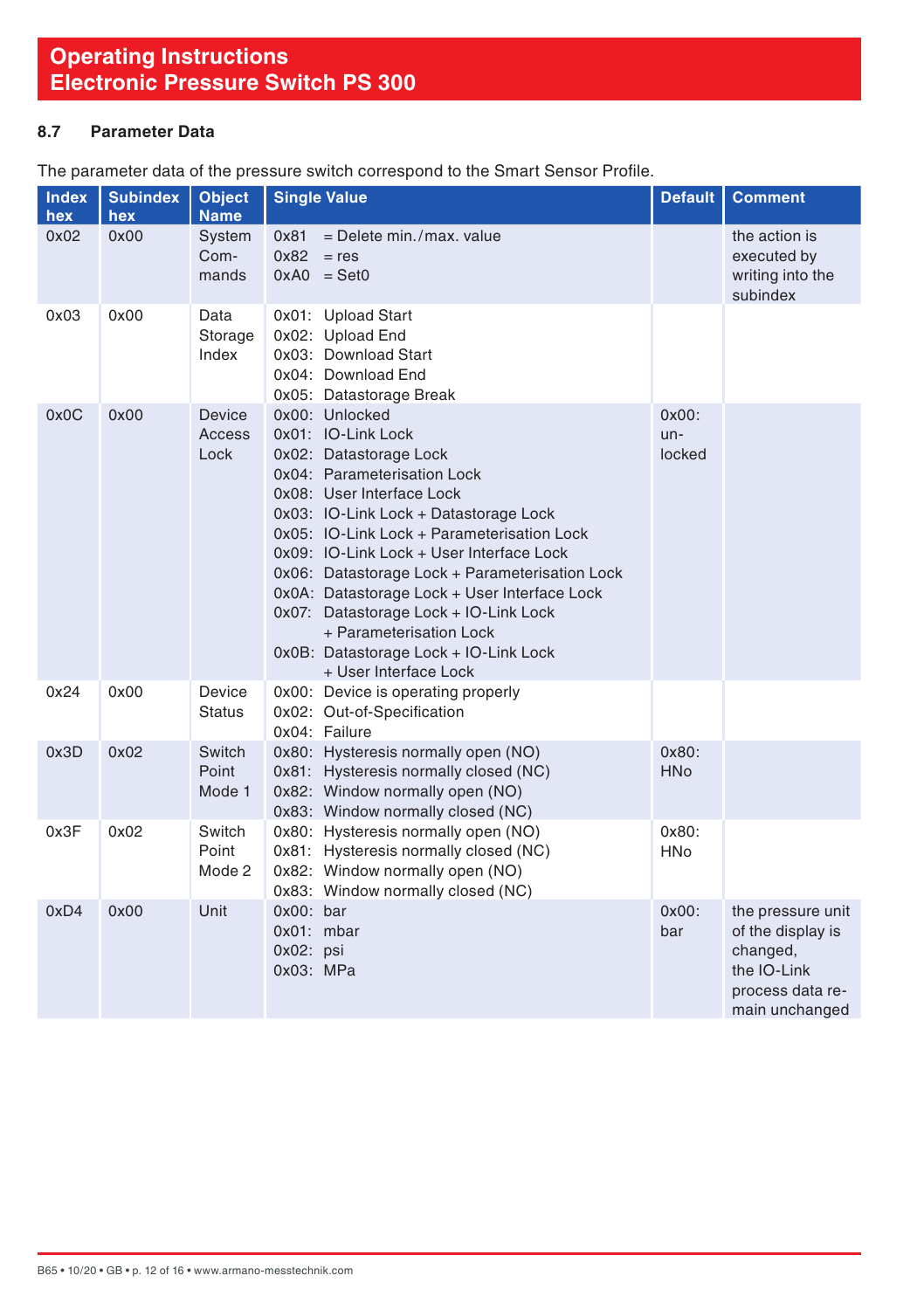#### <span id="page-11-0"></span>**8.7 Parameter Data**

The parameter data of the pressure switch correspond to the Smart Sensor Profile.

| <b>Index</b> | <b>Subindex</b> | <b>Object</b>             | <b>Single Value</b>                                                                                                                                                                                                                                                                                                                                                                                                                                                                                   | <b>Default</b>              | <b>Comment</b>                                                                                          |
|--------------|-----------------|---------------------------|-------------------------------------------------------------------------------------------------------------------------------------------------------------------------------------------------------------------------------------------------------------------------------------------------------------------------------------------------------------------------------------------------------------------------------------------------------------------------------------------------------|-----------------------------|---------------------------------------------------------------------------------------------------------|
| hex          | hex             | <b>Name</b>               |                                                                                                                                                                                                                                                                                                                                                                                                                                                                                                       |                             |                                                                                                         |
| 0x02         | 0x00            | System<br>Com-<br>mands   | $=$ Delete min./max. value<br>0x81<br>0x82<br>$=$ res<br>$0xA0 = Set0$                                                                                                                                                                                                                                                                                                                                                                                                                                |                             | the action is<br>executed by<br>writing into the<br>subindex                                            |
| 0x03         | 0x00            | Data<br>Storage<br>Index  | 0x01: Upload Start<br>0x02: Upload End<br>0x03: Download Start<br>0x04: Download End<br>0x05: Datastorage Break                                                                                                                                                                                                                                                                                                                                                                                       |                             |                                                                                                         |
| 0x0C         | 0x00            | Device<br>Access<br>Lock  | 0x00: Unlocked<br>0x01: IO-Link Lock<br>0x02: Datastorage Lock<br>0x04: Parameterisation Lock<br>0x08: User Interface Lock<br>0x03: IO-Link Lock + Datastorage Lock<br>0x05: IO-Link Lock + Parameterisation Lock<br>0x09: IO-Link Lock + User Interface Lock<br>0x06: Datastorage Lock + Parameterisation Lock<br>0x0A: Datastorage Lock + User Interface Lock<br>0x07: Datastorage Lock + IO-Link Lock<br>+ Parameterisation Lock<br>0x0B: Datastorage Lock + IO-Link Lock<br>+ User Interface Lock | $0x00$ :<br>$un-$<br>locked |                                                                                                         |
| 0x24         | 0x00            | Device<br><b>Status</b>   | 0x00: Device is operating properly<br>0x02: Out-of-Specification<br>Ox04: Failure                                                                                                                                                                                                                                                                                                                                                                                                                     |                             |                                                                                                         |
| 0x3D         | 0x02            | Switch<br>Point<br>Mode 1 | 0x80: Hysteresis normally open (NO)<br>0x81: Hysteresis normally closed (NC)<br>0x82: Window normally open (NO)<br>0x83: Window normally closed (NC)                                                                                                                                                                                                                                                                                                                                                  | 0x80:<br><b>HNo</b>         |                                                                                                         |
| 0x3F         | 0x02            | Switch<br>Point<br>Mode 2 | 0x80: Hysteresis normally open (NO)<br>0x81: Hysteresis normally closed (NC)<br>0x82: Window normally open (NO)<br>0x83: Window normally closed (NC)                                                                                                                                                                                                                                                                                                                                                  | 0x80:<br><b>HNo</b>         |                                                                                                         |
| 0xD4         | 0x00            | Unit                      | $0x00$ : bar<br>0x01: mbar<br>$0x02$ : psi<br>0x03: MPa                                                                                                                                                                                                                                                                                                                                                                                                                                               | $0x00$ :<br>bar             | the pressure unit<br>of the display is<br>changed,<br>the IO-Link<br>process data re-<br>main unchanged |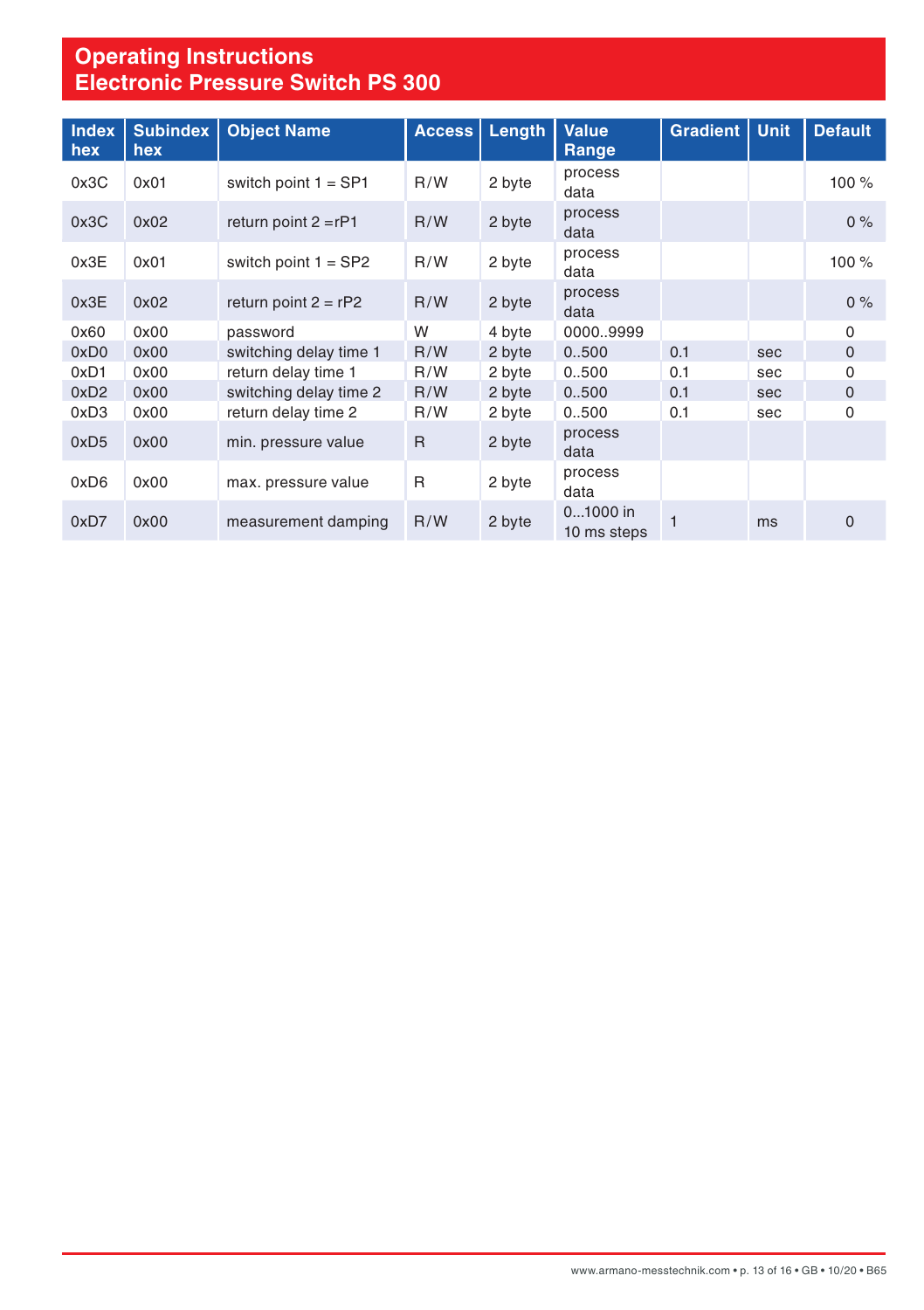| <b>Index</b><br>hex | <b>Subindex</b><br>hex | <b>Object Name</b>     | Access       | Length | <b>Value</b><br>Range   | <b>Gradient</b> | <b>Unit</b> | <b>Default</b> |
|---------------------|------------------------|------------------------|--------------|--------|-------------------------|-----------------|-------------|----------------|
| 0x3C                | 0x01                   | switch point $1 = SP1$ | R/W          | 2 byte | process<br>data         |                 |             | 100 %          |
| 0x3C                | 0x02                   | return point $2 = rP1$ | R/W          | 2 byte | process<br>data         |                 |             | 0%             |
| 0x3E                | 0x01                   | switch point $1 = SP2$ | R/W          | 2 byte | process<br>data         |                 |             | 100 %          |
| 0x3E                | 0x02                   | return point $2 = rP2$ | R/W          | 2 byte | process<br>data         |                 |             | 0%             |
| 0x60                | 0x00                   | password               | W            | 4 byte | 00009999                |                 |             | $\Omega$       |
| 0xD <sub>0</sub>    | 0x00                   | switching delay time 1 | R/W          | 2 byte | 0.500                   | 0.1             | sec         | $\mathbf 0$    |
| 0xD1                | 0x00                   | return delay time 1    | R/W          | 2 byte | 0.500                   | 0.1             | sec         | 0              |
| 0xD2                | 0x00                   | switching delay time 2 | R/W          | 2 byte | 0.500                   | 0.1             | sec         | $\mathbf 0$    |
| 0xD3                | 0x00                   | return delay time 2    | R/W          | 2 byte | 0.500                   | 0.1             | sec         | 0              |
| 0xD5                | 0x00                   | min. pressure value    | $\mathsf{R}$ | 2 byte | process<br>data         |                 |             |                |
| 0xD6                | 0x00                   | max. pressure value    | $\mathsf{R}$ | 2 byte | process<br>data         |                 |             |                |
| 0xD7                | 0x00                   | measurement damping    | R/W          | 2 byte | 01000 in<br>10 ms steps | 1               | ms          | $\mathbf 0$    |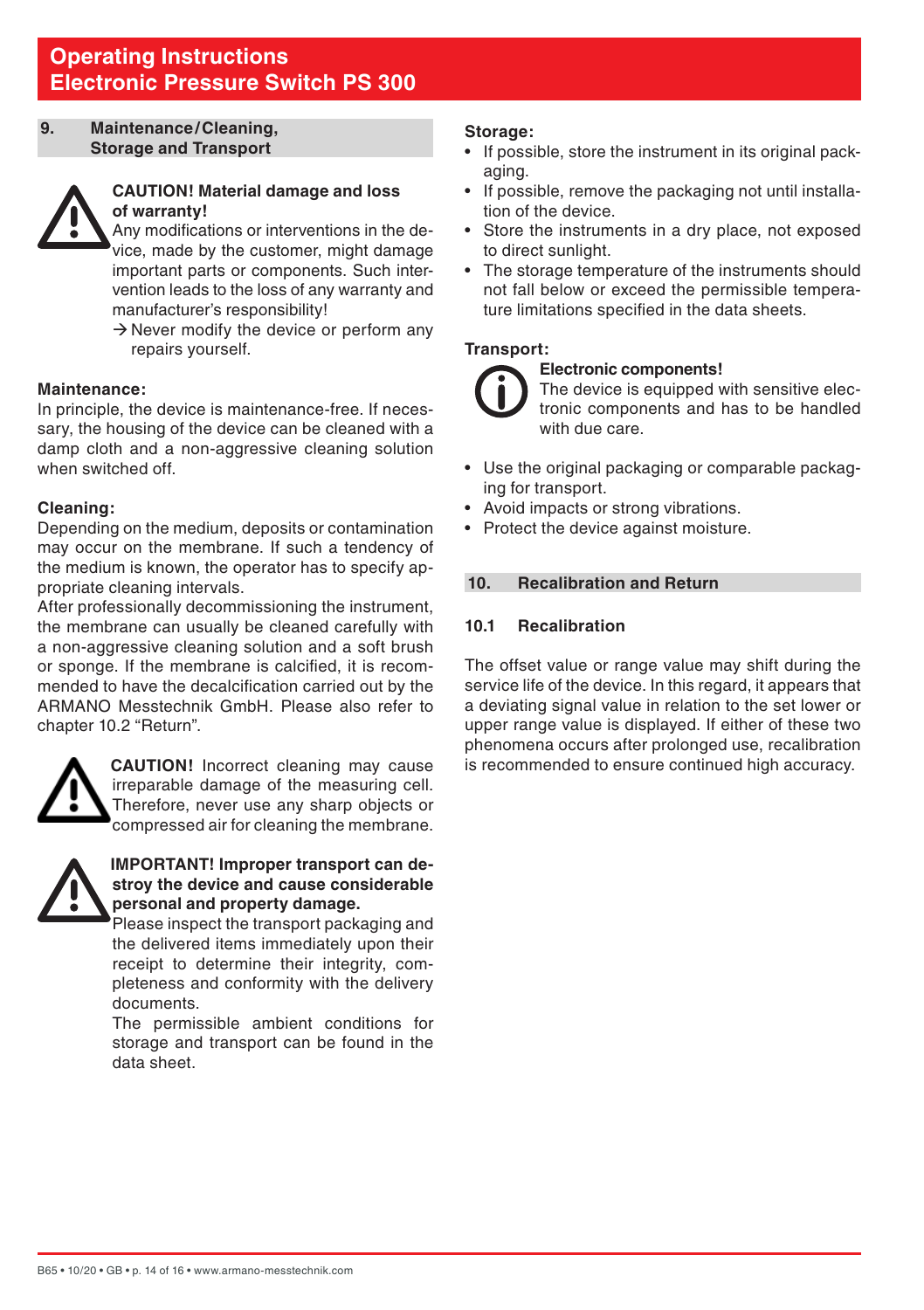#### <span id="page-13-0"></span>**9. Maintenance/Cleaning, Storage and Transport**



#### **CAUTION! Material damage and loss of warranty!**

 Any modifications or interventions in the device, made by the customer, might damage important parts or components. Such intervention leads to the loss of any warranty and manufacturer's responsibility!

 $\rightarrow$  Never modify the device or perform any repairs yourself.

#### **Maintenance:**

In principle, the device is maintenance-free. If necessary, the housing of the device can be cleaned with a damp cloth and a non-aggressive cleaning solution when switched off.

#### **Cleaning:**

Depending on the medium, deposits or contamination may occur on the membrane. If such a tendency of the medium is known, the operator has to specify appropriate cleaning intervals.

After professionally decommissioning the instrument. the membrane can usually be cleaned carefully with a non-aggressive cleaning solution and a soft brush or sponge. If the membrane is calcified, it is recommended to have the decalcification carried out by the ARMANO Messtechnik GmbH. Please also refer to chapter 10.2 "Return".



**CAUTION!** Incorrect cleaning may cause irreparable damage of the measuring cell. Therefore, never use any sharp objects or compressed air for cleaning the membrane.



#### **IMPORTANT! Improper transport can destroy the device and cause considerable personal and property damage.**

Please inspect the transport packaging and the delivered items immediately upon their receipt to determine their integrity, completeness and conformity with the delivery documents.

The permissible ambient conditions for storage and transport can be found in the data sheet.

#### **Storage:**

- If possible, store the instrument in its original packaging.
- If possible, remove the packaging not until installation of the device.
- Store the instruments in a dry place, not exposed to direct sunlight.
- The storage temperature of the instruments should not fall below or exceed the permissible temperature limitations specified in the data sheets.

#### **Transport:**

#### **Electronic components!**

The device is equipped with sensitive electronic components and has to be handled with due care

- Use the original packaging or comparable packaging for transport.
- Avoid impacts or strong vibrations.
- Protect the device against moisture.

#### **10. Recalibration and Return**

#### **10.1 Recalibration**

The offset value or range value may shift during the service life of the device. In this regard, it appears that a deviating signal value in relation to the set lower or upper range value is displayed. If either of these two phenomena occurs after prolonged use, recalibration is recommended to ensure continued high accuracy.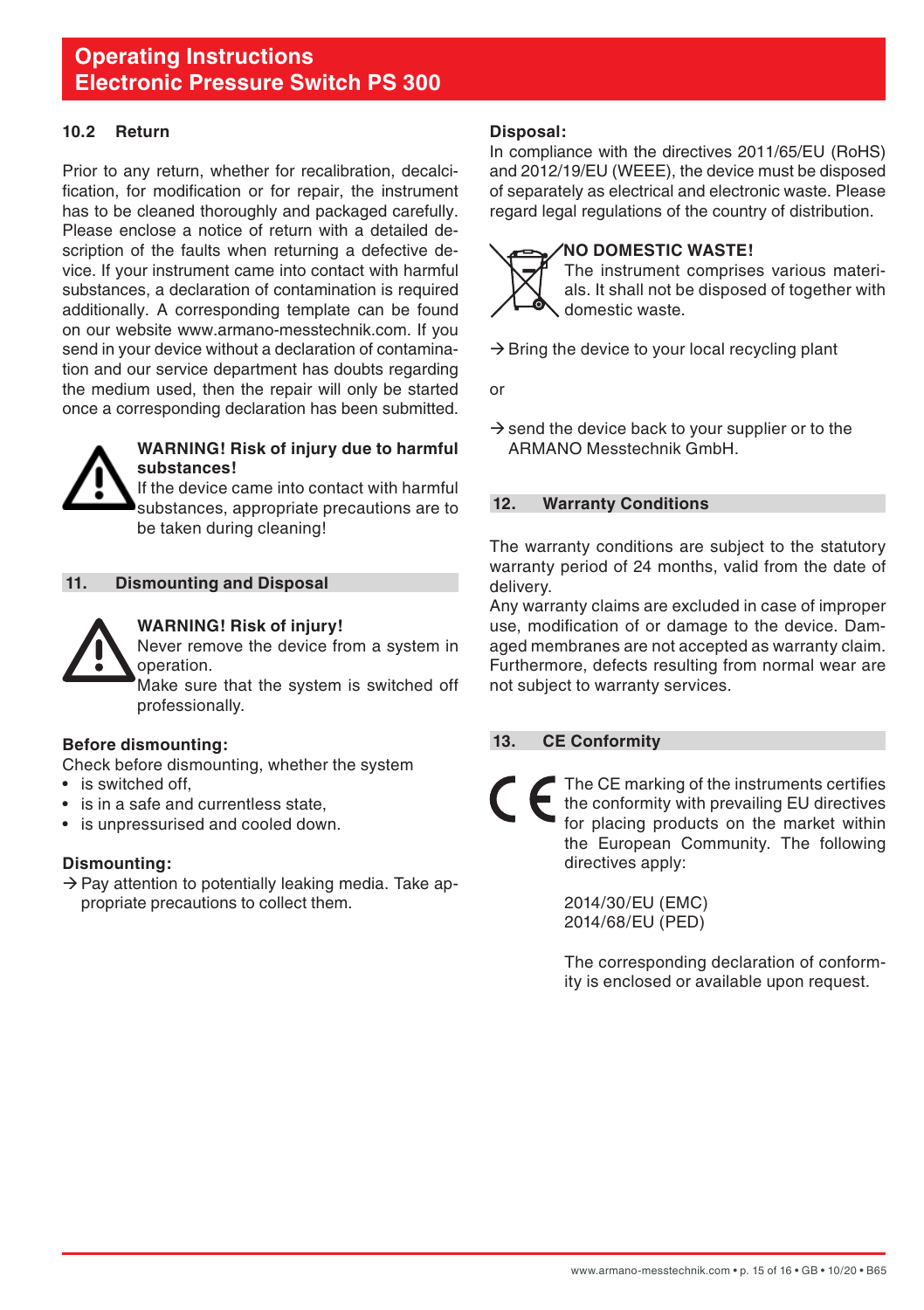#### <span id="page-14-0"></span>**10.2 Return**

Prior to any return, whether for recalibration, decalcification, for modification or for repair, the instrument has to be cleaned thoroughly and packaged carefully. Please enclose a notice of return with a detailed description of the faults when returning a defective device. If your instrument came into contact with harmful substances, a declaration of contamination is required additionally. A corresponding template can be found on our website www.armano-messtechnik.com. If you send in your device without a declaration of contamination and our service department has doubts regarding the medium used, then the repair will only be started once a corresponding declaration has been submitted.



#### **WARNING! Risk of injury due to harmful substances!**

If the device came into contact with harmful substances, appropriate precautions are to be taken during cleaning!

#### **11. Dismounting and Disposal**



#### **WARNING! Risk of injury!**

Never remove the device from a system in operation.

 Make sure that the system is switched off professionally.

#### **Before dismounting:**

Check before dismounting, whether the system

- is switched off,
- is in a safe and currentless state.
- is unpressurised and cooled down.

#### **Dismounting:**

 $\rightarrow$  Pay attention to potentially leaking media. Take appropriate precautions to collect them.

#### **Disposal:**

In compliance with the directives 2011/65/EU (RoHS) and 2012/19/EU (WEEE), the device must be disposed of separately as electrical and electronic waste. Please regard legal regulations of the country of distribution.

#### **NO DOMESTIC WASTE!**



 The instrument comprises various materials. It shall not be disposed of together with domestic waste.

 $\rightarrow$  Bring the device to your local recycling plant

or

 $\rightarrow$  send the device back to your supplier or to the ARMANO Messtechnik GmbH.

#### **12. Warranty Conditions**

The warranty conditions are subject to the statutory warranty period of 24 months, valid from the date of delivery.

Any warranty claims are excluded in case of improper use, modification of or damage to the device. Damaged membranes are not accepted as warranty claim. Furthermore, defects resulting from normal wear are not subject to warranty services.

#### **13. CE Conformity**

The CE marking of the instruments certifies the conformity with prevailing EU directives for placing products on the market within the European Community. The following directives apply:

> 2014/30/EU (EMC) 2014/68/EU (PED)

 The corresponding declaration of conformity is enclosed or available upon request.